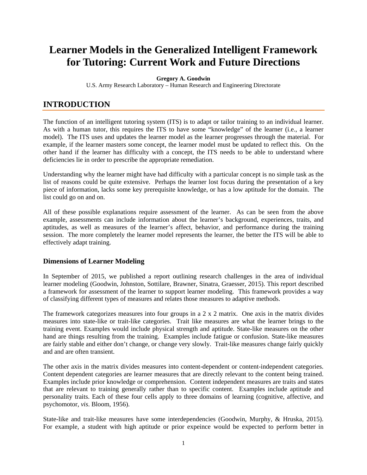# **Learner Models in the Generalized Intelligent Framework for Tutoring: Current Work and Future Directions**

#### **Gregory A. Goodwin**

U.S. Army Research Laboratory – Human Research and Engineering Directorate

# **INTRODUCTION**

The function of an intelligent tutoring system (ITS) is to adapt or tailor training to an individual learner. As with a human tutor, this requires the ITS to have some "knowledge" of the learner (i.e., a learner model). The ITS uses and updates the learner model as the learner progresses through the material. For example, if the learner masters some concept, the learner model must be updated to reflect this. On the other hand if the learner has difficulty with a concept, the ITS needs to be able to understand where deficiencies lie in order to prescribe the appropriate remediation.

Understanding why the learner might have had difficulty with a particular concept is no simple task as the list of reasons could be quite extensive. Perhaps the learner lost focus during the presentation of a key piece of information, lacks some key prerequisite knowledge, or has a low aptitude for the domain. The list could go on and on.

All of these possible explanations require assessment of the learner. As can be seen from the above example, assessments can include information about the learner's background, experiences, traits, and aptitudes, as well as measures of the learner's affect, behavior, and performance during the training session. The more completely the learner model represents the learner, the better the ITS will be able to effectively adapt training.

#### **Dimensions of Learner Modeling**

In September of 2015, we published a report outlining research challenges in the area of individual learner modeling (Goodwin, Johnston, Sottilare, Brawner, Sinatra, Graesser, 2015). This report described a framework for assessment of the learner to support learner modeling. This framework provides a way of classifying different types of measures and relates those measures to adaptive methods.

The framework categorizes measures into four groups in a 2 x 2 matrix. One axis in the matrix divides measures into state-like or trait-like categories. Trait like measures are what the learner brings to the training event. Examples would include physical strength and aptitude. State-like measures on the other hand are things resulting from the training. Examples include fatigue or confusion. State-like measures are fairly stable and either don't change, or change very slowly. Trait-like measures change fairly quickly and and are often transient.

The other axis in the matrix divides measures into content-dependent or content-independent categories. Content dependent categories are learner measures that are directly relevant to the content being trained. Examples include prior knowledge or comprehension. Content independent measures are traits and states that are relevant to training generally rather than to specific content. Examples include aptitude and personality traits. Each of these four cells apply to three domains of learning (cognitive, affective, and psychomotor, *vis*. Bloom, 1956).

State-like and trait-like measures have some interdependencies (Goodwin, Murphy, & Hruska, 2015). For example, a student with high aptitude or prior expeince would be expected to perform better in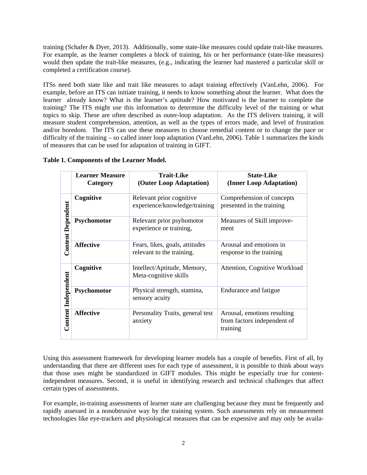training (Schafer & Dyer, 2013). Additionally, some state-like measures could update trait-like measures. For example, as the learner completes a block of training, his or her performance (state-like measures) would then update the trait-like measures, (e.g., indicating the learner had mastered a particular skill or completed a certification course).

ITSs need both state like and trait like measures to adapt training effectively (VanLehn, 2006). For example, before an ITS can initiate training, it needs to know something about the learner. What does the learner already know? What is the learner's aptitude? How motivated is the learner to complete the training? The ITS might use this information to determine the difficulty level of the training or what topics to skip. These are often described as outer-loop adaptation. As the ITS delivers training, it will measure student comprehension, attention, as well as the types of errors made, and level of frustration and/or boredom. The ITS can use these measures to choose remedial content or to change the pace or difficulty of the training – so called inner loop adaptation (VanLehn, 2006). Table 1 summarizes the kinds of measures that can be used for adaptation of training in GIFT.

|                            | <b>Learner Measure</b><br>Category | <b>Trait-Like</b><br>(Outer Loop Adaptation)                | <b>State-Like</b><br>(Inner Loop Adaptation)                           |
|----------------------------|------------------------------------|-------------------------------------------------------------|------------------------------------------------------------------------|
| <b>Content Dependent</b>   | Cognitive                          | Relevant prior cognitive<br>experience/knowledge/training   | Comprehension of concepts<br>presented in the training                 |
|                            | Psychomotor                        | Relevant prior psyhomotor<br>experience or training,        | Measures of Skill improve-<br>ment                                     |
|                            | <b>Affective</b>                   | Fears, likes, goals, attitudes<br>relevant to the training. | Arousal and emotions in<br>response to the training                    |
| <b>Content Independent</b> | Cognitive                          | Intellect/Aptitude, Memory,<br>Meta-cognitive skills        | Attention, Cognitive Workload                                          |
|                            | Psychomotor                        | Physical strength, stamina,<br>sensory acuity               | Endurance and fatigue                                                  |
|                            | <b>Affective</b>                   | Personality Traits, general test<br>anxiety                 | Arousal, emotions resulting<br>from factors independent of<br>training |

#### **Table 1. Components of the Learner Model.**

Using this assessment framework for developing learner models has a couple of benefits. First of all, by understanding that there are different uses for each type of assessment, it is possible to think about ways that those uses might be standardized in GIFT modules. This might be especially true for contentindependent measures. Second, it is useful in identifying research and technical challenges that affect certain types of assessments.

For example, in-training assessments of learner state are challenging because they must be frequently and rapidly assessed in a nonobtrusive way by the training system. Such assessments rely on measurement technologies like eye-trackers and physiological measures that can be expensive and may only be availa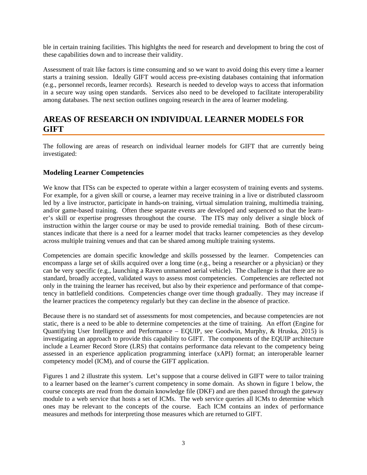ble in certain training facilities. This highlghts the need for research and development to bring the cost of these capabilities down and to increase their validity.

Assessment of trait like factors is time consuming and so we want to avoid doing this every time a learner starts a training session. Ideally GIFT would access pre-existing databases containing that information (e.g., personnel records, learner records). Research is needed to develop ways to access that information in a secure way using open standards. Services also need to be developed to facilitate interoperability among databases. The next section outlines ongoing research in the area of learner modeling.

### **AREAS OF RESEARCH ON INDIVIDUAL LEARNER MODELS FOR GIFT**

The following are areas of research on individual learner models for GIFT that are currently being investigated:

#### **Modeling Learner Competencies**

We know that ITSs can be expected to operate within a larger ecosystem of training events and systems. For example, for a given skill or course, a learner may receive training in a live or distributed classroom led by a live instructor, participate in hands-on training, virtual simulation training, multimedia training, and/or game-based training. Often these separate events are developed and sequenced so that the learner's skill or expertise progresses throughout the course. The ITS may only deliver a single block of instruction within the larger course or may be used to provide remedial training. Both of these circumstances indicate that there is a need for a learner model that tracks learner competencies as they develop across multiple training venues and that can be shared among multiple training systems.

Competencies are domain specific knowledge and skills possessed by the learner. Competencies can encompass a large set of skills acquired over a long time (e.g., being a researcher or a physician) or they can be very specific (e.g., launching a Raven unmanned aerial vehicle). The challenge is that there are no standard, broadly accepted, validated ways to assess most competencies. Competencies are reflected not only in the training the learner has received, but also by their experience and performance of that competency in battlefield conditions. Competencies change over time though gradually. They may increase if the learner practices the competency regularly but they can decline in the absence of practice.

Because there is no standard set of assessments for most competencies, and because competencies are not static, there is a need to be able to determine competencies at the time of training. An effort (Engine for Quantifying User Intelligence and Performance – EQUIP, see Goodwin, Murphy, & Hruska, 2015) is investigating an approach to provide this capability to GIFT. The components of the EQUIP architecture include a Learner Record Store (LRS) that contains performance data relevant to the competency being assessed in an experience application programming interface (xAPI) format; an interoperable learner competency model (ICM), and of course the GIFT application.

Figures 1 and 2 illustrate this system. Let's suppose that a course delived in GIFT were to tailor training to a learner based on the learner's current competency in some domain. As shown in figure 1 below, the course concepts are read from the domain knowledge file (DKF) and are then passed through the gateway module to a web service that hosts a set of ICMs. The web service queries all ICMs to determine which ones may be relevant to the concepts of the course. Each ICM contains an index of performance measures and methods for interpreting those measures which are returned to GIFT.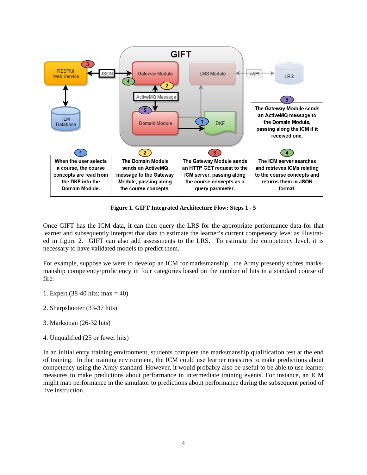

**Figure 1. GIFT Integrated Architecture Flow: Steps 1 - 5**

Once GIFT has the ICM data, it can then query the LRS for the appropriate performance data for that learner and subsequently interpret that data to estimate the learner's current competency level as illustrated in figure 2. GIFT can also add assessments to the LRS. To estimate the competency level, it is necessary to have validated models to predict them.

For example, suppose we were to develop an ICM for marksmanship. the Army presently scores marksmanship competency/proficiency in four categories based on the number of hits in a standard course of fire:

- 1. Expert (38-40 hits; max = 40)
- 2. Sharpshooter (33-37 hits)
- 3. Marksman (26-32 hits)
- 4. Unqualified (25 or fewer hits)

In an initial entry training environment, students complete the marksmanship qualification test at the end of training. In that training environment, the ICM could use learner measures to make predictions about competency using the Army standard. However, it would probably also be useful to be able to use learner measures to make predictions about performance in intermediate training events. For instance, an ICM might map performance in the simulator to predictions about performance during the subsequent period of live instruction.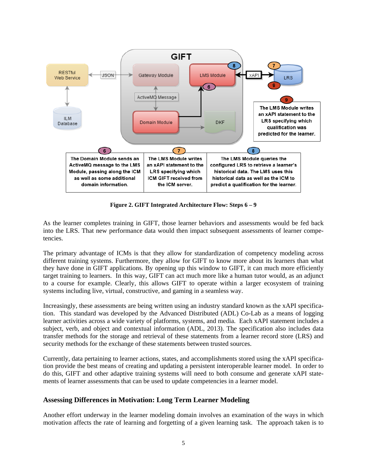

**Figure 2. GIFT Integrated Architecture Flow: Steps 6 – 9**

As the learner completes training in GIFT, those learner behaviors and assessments would be fed back into the LRS. That new performance data would then impact subsequent assessments of learner competencies.

The primary advantage of ICMs is that they allow for standardization of competency modeling across different training systems. Furthermore, they allow for GIFT to know more about its learners than what they have done in GIFT applications. By opening up this window to GIFT, it can much more efficiently target training to learners. In this way, GIFT can act much more like a human tutor would, as an adjunct to a course for example. Clearly, this allows GIFT to operate within a larger ecosystem of training systems including live, virtual, constructive, and gaming in a seamless way.

Increasingly, these assessments are being written using an industry standard known as the xAPI specification. This standard was developed by the Advanced Distributed (ADL) Co-Lab as a means of logging learner activities across a wide variety of platforms, systems, and media. Each xAPI statement includes a subject, verb, and object and contextual information (ADL, 2013). The specification also includes data transfer methods for the storage and retrieval of these statements from a learner record store (LRS) and security methods for the exchange of these statements between trusted sources.

Currently, data pertaining to learner actions, states, and accomplishments stored using the xAPI specification provide the best means of creating and updating a persistent interoperable learner model. In order to do this, GIFT and other adaptive training systems will need to both consume and generate xAPI statements of learner assessments that can be used to update competencies in a learner model.

#### **Assessing Differences in Motivation: Long Term Learner Modeling**

Another effort underway in the learner modeling domain involves an examination of the ways in which motivation affects the rate of learning and forgetting of a given learning task. The approach taken is to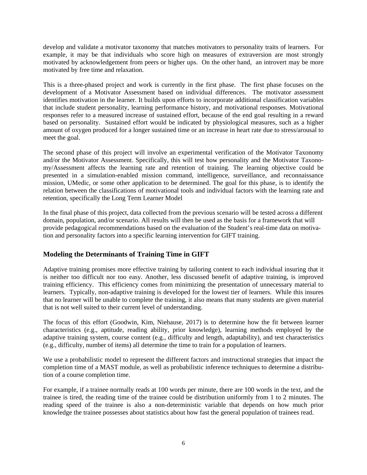develop and validate a motivator taxonomy that matches motivators to personality traits of learners. For example, it may be that individuals who score high on measures of extraversion are most strongly motivated by acknowledgement from peers or higher ups. On the other hand, an introvert may be more motivated by free time and relaxation.

This is a three-phased project and work is currently in the first phase. The first phase focuses on the development of a Motivator Assessment based on individual differences. The motivator assessment identifies motivation in the learner. It builds upon efforts to incorporate additional classification variables that include student personality, learning performance history, and motivational responses. Motivational responses refer to a measured increase of sustained effort, because of the end goal resulting in a reward based on personality. Sustained effort would be indicated by physiological measures, such as a higher amount of oxygen produced for a longer sustained time or an increase in heart rate due to stress/arousal to meet the goal.

The second phase of this project will involve an experimental verification of the Motivator Taxonomy and/or the Motivator Assessment. Specifically, this will test how personality and the Motivator Taxonomy/Assessment affects the learning rate and retention of training. The learning objective could be presented in a simulation-enabled mission command, intelligence, surveillance, and reconnaissance mission, UMedic, or some other application to be determined. The goal for this phase, is to identify the relation between the classifications of motivational tools and individual factors with the learning rate and retention, specifically the Long Term Learner Model

In the final phase of this project, data collected from the previous scenario will be tested across a different domain, population, and/or scenario. All results will then be used as the basis for a framework that will provide pedagogical recommendations based on the evaluation of the Student's real-time data on motivation and personality factors into a specific learning intervention for GIFT training.

#### **Modeling the Determinants of Training Time in GIFT**

Adaptive training promises more effective training by tailoring content to each individual insuring that it is neither too difficult nor too easy. Another, less discussed benefit of adaptive training, is improved training efficiency. This efficiency comes from minimizing the presentation of unnecessary material to learners. Typically, non-adaptive training is developed for the lowest tier of learners. While this insures that no learner will be unable to complete the training, it also means that many students are given material that is not well suited to their current level of understanding.

The focus of this effort (Goodwin, Kim, Niehause, 2017) is to determine how the fit between learner characteristics (e.g., aptitude, reading ability, prior knowledge), learning methods employed by the adaptive training system, course content (e.g., difficulty and length, adaptability), and test characteristics (e.g., difficulty, number of items) all determine the time to train for a population of learners.

We use a probabilistic model to represent the different factors and instructional strategies that impact the completion time of a MAST module, as well as probabilistic inference techniques to determine a distribution of a course completion time.

For example, if a trainee normally reads at 100 words per minute, there are 100 words in the text, and the trainee is tired, the reading time of the trainee could be distribution uniformly from 1 to 2 minutes. The reading speed of the trainee is also a non-deterministic variable that depends on how much prior knowledge the trainee possesses about statistics about how fast the general population of trainees read.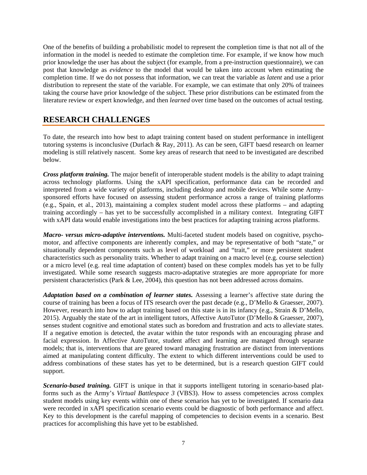One of the benefits of building a probabilistic model to represent the completion time is that not all of the information in the model is needed to estimate the completion time. For example, if we know how much prior knowledge the user has about the subject (for example, from a pre-instruction questionnaire), we can post that knowledge as *evidence* to the model that would be taken into account when estimating the completion time. If we do not possess that information, we can treat the variable as *latent* and use a prior distribution to represent the state of the variable. For example, we can estimate that only 20% of trainees taking the course have prior knowledge of the subject. These prior distributions can be estimated from the literature review or expert knowledge, and then *learned* over time based on the outcomes of actual testing.

## **RESEARCH CHALLENGES**

To date, the research into how best to adapt training content based on student performance in intelligent tutoring systems is inconclusive (Durlach & Ray, 2011). As can be seen, GIFT baesd research on learner modeling is still relatively nascent. Some key areas of research that need to be investigated are described below.

*Cross platform training.* The major benefit of interoperable student models is the ability to adapt training across technology platforms. Using the xAPI specification, performance data can be recorded and interpreted from a wide variety of platforms, including desktop and mobile devices. While some Armysponsored efforts have focused on assessing student performance across a range of training platforms (e.g., Spain, et al., 2013), maintaining a complex student model across these platforms – and adapting training accordingly – has yet to be successfully accomplished in a military context. Integrating GIFT with xAPI data would enable investigations into the best practices for adapting training across platforms.

*Macro- versus micro-adaptive interventions.* Multi-faceted student models based on cognitive, psychomotor, and affective components are inherently complex, and may be representative of both "state," or situationally dependent components such as level of workload and "trait," or more persistent student characteristics such as personality traits. Whether to adapt training on a macro level (e.g. course selection) or a micro level (e.g. real time adaptation of content) based on these complex models has yet to be fully investigated. While some research suggests macro-adaptative strategies are more appropriate for more persistent characteristics (Park & Lee, 2004), this question has not been addressed across domains.

*Adaptation based on a combination of learner states.* Assessing a learner's affective state during the course of training has been a focus of ITS research over the past decade (e.g., D'Mello & Graesser, 2007). However, research into how to adapt training based on this state is in its infancy (e.g., Strain & D'Mello, 2015). Arguably the state of the art in intelligent tutors, Affective AutoTutor (D'Mello & Graesser, 2007), senses student cognitive and emotional states such as boredom and frustration and acts to alleviate states. If a negative emotion is detected, the avatar within the tutor responds with an encouraging phrase and facial expression. In Affective AutoTutor, student affect and learning are managed through separate models; that is, interventions that are geared toward managing frustration are distinct from interventions aimed at manipulating content difficulty. The extent to which different interventions could be used to address combinations of these states has yet to be determined, but is a research question GIFT could support.

*Scenario-based training.* GIFT is unique in that it supports intelligent tutoring in scenario-based platforms such as the Army's *Virtual Battlespace 3* (VBS3). How to assess competencies across complex student models using key events within one of these scenarios has yet to be investigated. If scenario data were recorded in xAPI specification scenario events could be diagnostic of both performance and affect. Key to this development is the careful mapping of competencies to decision events in a scenario. Best practices for accomplishing this have yet to be established.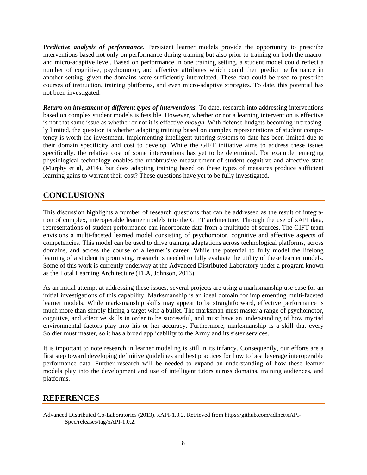*Predictive analysis of performance*. Persistent learner models provide the opportunity to prescribe interventions based not only on performance during training but also prior to training on both the macroand micro-adaptive level. Based on performance in one training setting, a student model could reflect a number of cognitive, psychomotor, and affective attributes which could then predict performance in another setting, given the domains were sufficiently interrelated. These data could be used to prescribe courses of instruction, training platforms, and even micro-adaptive strategies. To date, this potential has not been investigated.

*Return on investment of different types of interventions.* To date, research into addressing interventions based on complex student models is feasible. However, whether or not a learning intervention is effective is not that same issue as whether or not it is effective *enough.* With defense budgets becoming increasingly limited, the question is whether adapting training based on complex representations of student competency is worth the investment. Implementing intelligent tutoring systems to date has been limited due to their domain specificity and cost to develop. While the GIFT initiative aims to address these issues specifically, the relative cost of some interventions has yet to be determined. For example, emerging physiological technology enables the unobtrusive measurement of student cognitive and affective state (Murphy et al, 2014), but does adapting training based on these types of measures produce sufficient learning gains to warrant their cost? These questions have yet to be fully investigated.

# **CONCLUSIONS**

This discussion highlights a number of research questions that can be addressed as the result of integration of complex, interoperable learner models into the GIFT architecture. Through the use of xAPI data, representations of student performance can incorporate data from a multitude of sources. The GIFT team envisions a multi-faceted learned model consisting of psychomotor, cognitive and affective aspects of competencies. This model can be used to drive training adaptations across technological platforms, across domains, and across the course of a learner's career. While the potential to fully model the lifelong learning of a student is promising, research is needed to fully evaluate the utility of these learner models. Some of this work is currently underway at the Advanced Distributed Laboratory under a program known as the Total Learning Architecture (TLA, Johnson, 2013).

As an initial attempt at addressing these issues, several projects are using a marksmanship use case for an initial investigations of this capability. Marksmanship is an ideal domain for implementing multi-faceted learner models. While marksmanship skills may appear to be straightforward, effective performance is much more than simply hitting a target with a bullet. The marksman must master a range of psychomotor, cognitive, and affective skills in order to be successful, and must have an understanding of how myriad environmental factors play into his or her accuracy. Furthermore, marksmanship is a skill that every Soldier must master, so it has a broad applicability to the Army and its sister services.

It is important to note research in learner modeling is still in its infancy. Consequently, our efforts are a first step toward developing definitive guidelines and best practices for how to best leverage interoperable performance data. Further research will be needed to expand an understanding of how these learner models play into the development and use of intelligent tutors across domains, training audiences, and platforms.

### **REFERENCES**

Advanced Distributed Co-Laboratories (2013). xAPI-1.0.2. Retrieved from https://github.com/adlnet/xAPI-Spec/releases/tag/xAPI-1.0.2.